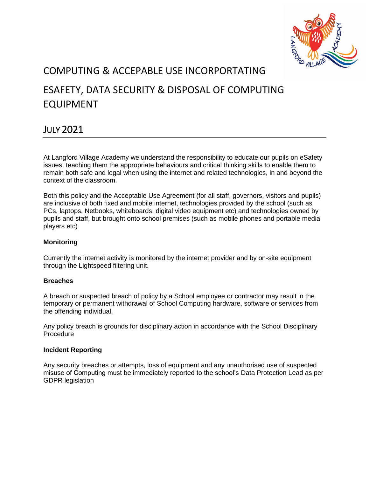

# COMPUTING & ACCEPABLE USE INCORPORTATING

# ESAFETY, DATA SECURITY & DISPOSAL OF COMPUTING EQUIPMENT

## JULY 2021

At Langford Village Academy we understand the responsibility to educate our pupils on eSafety issues, teaching them the appropriate behaviours and critical thinking skills to enable them to remain both safe and legal when using the internet and related technologies, in and beyond the context of the classroom.

Both this policy and the Acceptable Use Agreement (for all staff, governors, visitors and pupils) are inclusive of both fixed and mobile internet, technologies provided by the school (such as PCs, laptops, Netbooks, whiteboards, digital video equipment etc) and technologies owned by pupils and staff, but brought onto school premises (such as mobile phones and portable media players etc)

## **Monitoring**

Currently the internet activity is monitored by the internet provider and by on-site equipment through the Lightspeed filtering unit.

## **Breaches**

A breach or suspected breach of policy by a School employee or contractor may result in the temporary or permanent withdrawal of School Computing hardware, software or services from the offending individual.

Any policy breach is grounds for disciplinary action in accordance with the School Disciplinary Procedure

#### **Incident Reporting**

Any security breaches or attempts, loss of equipment and any unauthorised use of suspected misuse of Computing must be immediately reported to the school's Data Protection Lead as per GDPR legislation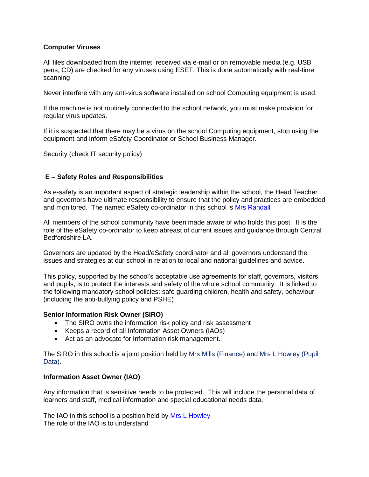#### **Computer Viruses**

All files downloaded from the internet, received via e-mail or on removable media (e.g. USB pens, CD) are checked for any viruses using ESET. This is done automatically with real-time scanning

Never interfere with any anti-virus software installed on school Computing equipment is used.

If the machine is not routinely connected to the school network, you must make provision for regular virus updates.

If it is suspected that there may be a virus on the school Computing equipment, stop using the equipment and inform eSafety Coordinator or School Business Manager.

Security (check IT security policy)

#### **E – Safety Roles and Responsibilities**

As e-safety is an important aspect of strategic leadership within the school, the Head Teacher and governors have ultimate responsibility to ensure that the policy and practices are embedded and monitored. The named eSafety co-ordinator in this school is Mrs Randall

All members of the school community have been made aware of who holds this post. It is the role of the eSafety co-ordinator to keep abreast of current issues and guidance through Central Bedfordshire LA.

Governors are updated by the Head/eSafety coordinator and all governors understand the issues and strategies at our school in relation to local and national guidelines and advice.

This policy, supported by the school's acceptable use agreements for staff, governors, visitors and pupils, is to protect the interests and safety of the whole school community. It is linked to the following mandatory school policies: safe guarding children, health and safety, behaviour (including the anti-bullying policy and PSHE)

#### **Senior Information Risk Owner (SIRO)**

- The SIRO owns the information risk policy and risk assessment
- Keeps a record of all Information Asset Owners (IAOs)
- Act as an advocate for Information risk management.

The SIRO in this school is a joint position held by Mrs Mills (Finance) and Mrs L Howley (Pupil Data).

#### **Information Asset Owner (IAO)**

Any information that is sensitive needs to be protected. This will include the personal data of learners and staff, medical information and special educational needs data.

The IAO in this school is a position held by Mrs L Howley The role of the IAO is to understand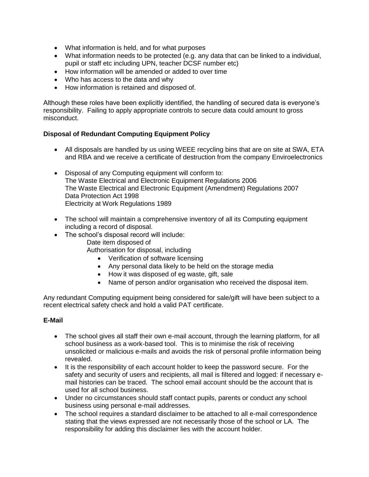- What information is held, and for what purposes
- What information needs to be protected (e.g. any data that can be linked to a individual, pupil or staff etc including UPN, teacher DCSF number etc)
- How information will be amended or added to over time
- Who has access to the data and why
- How information is retained and disposed of.

Although these roles have been explicitly identified, the handling of secured data is everyone's responsibility. Failing to apply appropriate controls to secure data could amount to gross misconduct.

## **Disposal of Redundant Computing Equipment Policy**

- All disposals are handled by us using WEEE recycling bins that are on site at SWA, ETA and RBA and we receive a certificate of destruction from the company Enviroelectronics
- Disposal of any Computing equipment will conform to: The Waste Electrical and Electronic Equipment Regulations 2006 The Waste Electrical and Electronic Equipment (Amendment) Regulations 2007 Data Protection Act 1998 Electricity at Work Regulations 1989
- The school will maintain a comprehensive inventory of all its Computing equipment including a record of disposal.
- The school's disposal record will include:
	- Date item disposed of

Authorisation for disposal, including

- Verification of software licensing
- Any personal data likely to be held on the storage media
- How it was disposed of eg waste, gift, sale
- Name of person and/or organisation who received the disposal item.

Any redundant Computing equipment being considered for sale/gift will have been subject to a recent electrical safety check and hold a valid PAT certificate.

#### **E-Mail**

- The school gives all staff their own e-mail account, through the learning platform, for all school business as a work-based tool. This is to minimise the risk of receiving unsolicited or malicious e-mails and avoids the risk of personal profile information being revealed.
- It is the responsibility of each account holder to keep the password secure. For the safety and security of users and recipients, all mail is filtered and logged: if necessary email histories can be traced. The school email account should be the account that is used for all school business.
- Under no circumstances should staff contact pupils, parents or conduct any school business using personal e-mail addresses.
- The school requires a standard disclaimer to be attached to all e-mail correspondence stating that the views expressed are not necessarily those of the school or LA. The responsibility for adding this disclaimer lies with the account holder.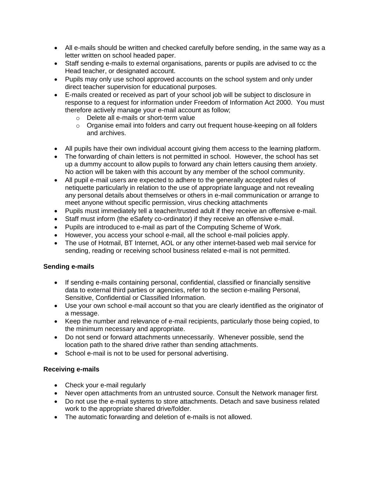- All e-mails should be written and checked carefully before sending, in the same way as a letter written on school headed paper.
- Staff sending e-mails to external organisations, parents or pupils are advised to cc the Head teacher, or designated account.
- Pupils may only use school approved accounts on the school system and only under direct teacher supervision for educational purposes.
- E-mails created or received as part of your school job will be subject to disclosure in response to a request for information under Freedom of Information Act 2000. You must therefore actively manage your e-mail account as follow;
	- o Delete all e-mails or short-term value
	- $\circ$  Organise email into folders and carry out frequent house-keeping on all folders and archives.
- All pupils have their own individual account giving them access to the learning platform.
- The forwarding of chain letters is not permitted in school. However, the school has set up a dummy account to allow pupils to forward any chain letters causing them anxiety. No action will be taken with this account by any member of the school community.
- All pupil e-mail users are expected to adhere to the generally accepted rules of netiquette particularly in relation to the use of appropriate language and not revealing any personal details about themselves or others in e-mail communication or arrange to meet anyone without specific permission, virus checking attachments
- Pupils must immediately tell a teacher/trusted adult if they receive an offensive e-mail.
- Staff must inform (the eSafety co-ordinator) if they receive an offensive e-mail.
- Pupils are introduced to e-mail as part of the Computing Scheme of Work.
- However, you access your school e-mail, all the school e-mail policies apply.
- The use of Hotmail, BT Internet, AOL or any other internet-based web mail service for sending, reading or receiving school business related e-mail is not permitted.

#### **Sending e-mails**

- If sending e-mails containing personal, confidential, classified or financially sensitive data to external third parties or agencies, refer to the section e-mailing Personal, Sensitive, Confidential or Classified Information.
- Use your own school e-mail account so that you are clearly identified as the originator of a message.
- Keep the number and relevance of e-mail recipients, particularly those being copied, to the minimum necessary and appropriate.
- Do not send or forward attachments unnecessarily. Whenever possible, send the location path to the shared drive rather than sending attachments.
- School e-mail is not to be used for personal advertising.

#### **Receiving e-mails**

- Check your e-mail regularly
- Never open attachments from an untrusted source. Consult the Network manager first.
- Do not use the e-mail systems to store attachments. Detach and save business related work to the appropriate shared drive/folder.
- The automatic forwarding and deletion of e-mails is not allowed.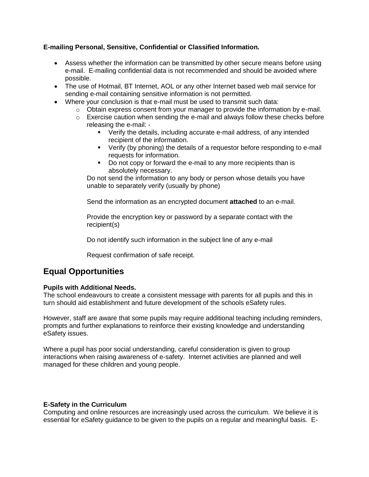## **E-mailing Personal, Sensitive, Confidential or Classified Information.**

- Assess whether the information can be transmitted by other secure means before using e-mail. E-mailing confidential data is not recommended and should be avoided where possible.
- The use of Hotmail, BT Internet, AOL or any other Internet based web mail service for sending e-mail containing sensitive information is not permitted.
- Where your conclusion is that e-mail must be used to transmit such data:
	- $\circ$  Obtain express consent from your manager to provide the information by e-mail.
	- $\circ$  Exercise caution when sending the e-mail and always follow these checks before releasing the e-mail: -
		- Verify the details, including accurate e-mail address, of any intended recipient of the information.
		- Verify (by phoning) the details of a requestor before responding to e-mail requests for information.
		- Do not copy or forward the e-mail to any more recipients than is absolutely necessary.

Do not send the information to any body or person whose details you have unable to separately verify (usually by phone)

Send the information as an encrypted document **attached** to an e-mail.

Provide the encryption key or password by a separate contact with the recipient(s)

Do not identify such information in the subject line of any e-mail

Request confirmation of safe receipt.

## **Equal Opportunities**

#### **Pupils with Additional Needs.**

The school endeavours to create a consistent message with parents for all pupils and this in turn should aid establishment and future development of the schools eSafety rules.

However, staff are aware that some pupils may require additional teaching including reminders, prompts and further explanations to reinforce their existing knowledge and understanding eSafety issues.

Where a pupil has poor social understanding, careful consideration is given to group interactions when raising awareness of e-safety. Internet activities are planned and well managed for these children and young people.

#### **E-Safety in the Curriculum**

Computing and online resources are increasingly used across the curriculum. We believe it is essential for eSafety guidance to be given to the pupils on a regular and meaningful basis. E-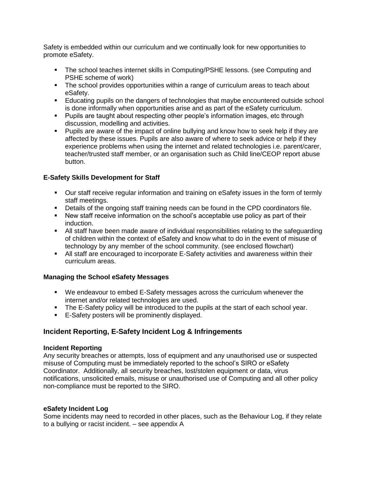Safety is embedded within our curriculum and we continually look for new opportunities to promote eSafety.

- The school teaches internet skills in Computing/PSHE lessons. (see Computing and PSHE scheme of work)
- **•** The school provides opportunities within a range of curriculum areas to teach about eSafety.
- **E** Educating pupils on the dangers of technologies that maybe encountered outside school is done informally when opportunities arise and as part of the eSafety curriculum.
- Pupils are taught about respecting other people's information images, etc through discussion, modelling and activities.
- Pupils are aware of the impact of online bullying and know how to seek help if they are affected by these issues. Pupils are also aware of where to seek advice or help if they experience problems when using the internet and related technologies i.e. parent/carer, teacher/trusted staff member, or an organisation such as Child line/CEOP report abuse button.

## **E-Safety Skills Development for Staff**

- **•** Our staff receive regular information and training on eSafety issues in the form of termly staff meetings.
- Details of the ongoing staff training needs can be found in the CPD coordinators file.
- **EXECT** New staff receive information on the school's acceptable use policy as part of their induction.
- All staff have been made aware of individual responsibilities relating to the safeguarding of children within the context of eSafety and know what to do in the event of misuse of technology by any member of the school community. (see enclosed flowchart)
- **E** All staff are encouraged to incorporate E-Safety activities and awareness within their curriculum areas.

#### **Managing the School eSafety Messages**

- We endeavour to embed E-Safety messages across the curriculum whenever the internet and/or related technologies are used.
- **•** The E-Safety policy will be introduced to the pupils at the start of each school year.
- E-Safety posters will be prominently displayed.

## **Incident Reporting, E-Safety Incident Log & Infringements**

#### **Incident Reporting**

Any security breaches or attempts, loss of equipment and any unauthorised use or suspected misuse of Computing must be immediately reported to the school's SIRO or eSafety Coordinator. Additionally, all security breaches, lost/stolen equipment or data, virus notifications, unsolicited emails, misuse or unauthorised use of Computing and all other policy non-compliance must be reported to the SIRO.

#### **eSafety Incident Log**

Some incidents may need to recorded in other places, such as the Behaviour Log, if they relate to a bullying or racist incident. – see appendix A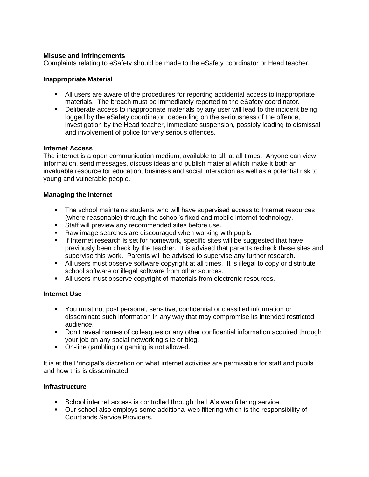#### **Misuse and Infringements**

Complaints relating to eSafety should be made to the eSafety coordinator or Head teacher.

#### **Inappropriate Material**

- All users are aware of the procedures for reporting accidental access to inappropriate materials. The breach must be immediately reported to the eSafety coordinator.
- Deliberate access to inappropriate materials by any user will lead to the incident being logged by the eSafety coordinator, depending on the seriousness of the offence, investigation by the Head teacher, immediate suspension, possibly leading to dismissal and involvement of police for very serious offences.

#### **Internet Access**

The internet is a open communication medium, available to all, at all times. Anyone can view information, send messages, discuss ideas and publish material which make it both an invaluable resource for education, business and social interaction as well as a potential risk to young and vulnerable people.

#### **Managing the Internet**

- **•** The school maintains students who will have supervised access to Internet resources (where reasonable) through the school's fixed and mobile internet technology.
- **EXECT:** Staff will preview any recommended sites before use.
- Raw image searches are discouraged when working with pupils
- **.** If Internet research is set for homework, specific sites will be suggested that have previously been check by the teacher. It is advised that parents recheck these sites and supervise this work. Parents will be advised to supervise any further research.
- All users must observe software copyright at all times. It is illegal to copy or distribute school software or illegal software from other sources.
- All users must observe copyright of materials from electronic resources.

#### **Internet Use**

- You must not post personal, sensitive, confidential or classified information or disseminate such information in any way that may compromise its intended restricted audience.
- Don't reveal names of colleagues or any other confidential information acquired through your job on any social networking site or blog.
- On-line gambling or gaming is not allowed.

It is at the Principal's discretion on what internet activities are permissible for staff and pupils and how this is disseminated.

#### **Infrastructure**

- School internet access is controlled through the LA's web filtering service.
- Our school also employs some additional web filtering which is the responsibility of Courtlands Service Providers.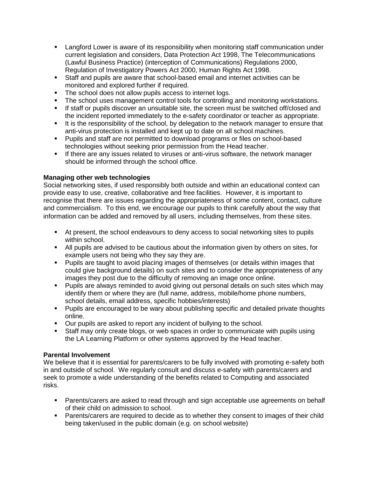- Langford Lower is aware of its responsibility when monitoring staff communication under current legislation and considers, Data Protection Act 1998, The Telecommunications (Lawful Business Practice) (interception of Communications) Regulations 2000, Regulation of Investigatory Powers Act 2000, Human Rights Act 1998.
- Staff and pupils are aware that school-based email and internet activities can be monitored and explored further if required.
- The school does not allow pupils access to internet logs.
- **•** The school uses management control tools for controlling and monitoring workstations.
- **.** If staff or pupils discover an unsuitable site, the screen must be switched off/closed and the incident reported immediately to the e-safety coordinator or teacher as appropriate.
- **.** It is the responsibility of the school, by delegation to the network manager to ensure that anti-virus protection is installed and kept up to date on all school machines.
- Pupils and staff are not permitted to download programs or files on school-based technologies without seeking prior permission from the Head teacher.
- **.** If there are any issues related to viruses or anti-virus software, the network manager should be informed through the school office.

#### **Managing other web technologies**

Social networking sites, if used responsibly both outside and within an educational context can provide easy to use, creative, collaborative and free facilities. However, it is important to recognise that there are issues regarding the appropriateness of some content, contact, culture and commercialism. To this end, we encourage our pupils to think carefully about the way that information can be added and removed by all users, including themselves, from these sites.

- At present, the school endeavours to deny access to social networking sites to pupils within school.
- All pupils are advised to be cautious about the information given by others on sites, for example users not being who they say they are.
- Pupils are taught to avoid placing images of themselves (or details within images that could give background details) on such sites and to consider the appropriateness of any images they post due to the difficulty of removing an image once online.
- Pupils are always reminded to avoid giving out personal details on such sites which may identify them or where they are (full name, address, mobile/home phone numbers, school details, email address, specific hobbies/interests)
- Pupils are encouraged to be wary about publishing specific and detailed private thoughts online.
- Our pupils are asked to report any incident of bullying to the school.
- Staff may only create blogs, or web spaces in order to communicate with pupils using the LA Learning Platform or other systems approved by the Head teacher.

#### **Parental Involvement**

We believe that it is essential for parents/carers to be fully involved with promoting e-safety both in and outside of school. We regularly consult and discuss e-safety with parents/carers and seek to promote a wide understanding of the benefits related to Computing and associated risks.

- **Parents/carers are asked to read through and sign acceptable use agreements on behalf** of their child on admission to school.
- **Parents/carers are required to decide as to whether they consent to images of their child** being taken/used in the public domain (e.g. on school website)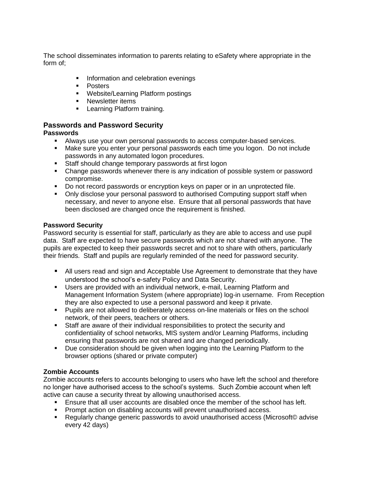The school disseminates information to parents relating to eSafety where appropriate in the form of;

- **Information and celebration evenings**
- Posters
- Website/Learning Platform postings
- **EXEC** Newsletter items
- **•** Learning Platform training.

## **Passwords and Password Security**

## **Passwords**

- Always use your own personal passwords to access computer-based services.
- Make sure you enter your personal passwords each time you logon. Do not include passwords in any automated logon procedures.
- Staff should change temporary passwords at first logon
- Change passwords whenever there is any indication of possible system or password compromise.
- Do not record passwords or encryption keys on paper or in an unprotected file.
- Only disclose your personal password to authorised Computing support staff when necessary, and never to anyone else. Ensure that all personal passwords that have been disclosed are changed once the requirement is finished.

## **Password Security**

Password security is essential for staff, particularly as they are able to access and use pupil data. Staff are expected to have secure passwords which are not shared with anyone. The pupils are expected to keep their passwords secret and not to share with others, particularly their friends. Staff and pupils are regularly reminded of the need for password security.

- All users read and sign and Acceptable Use Agreement to demonstrate that they have understood the school's e-safety Policy and Data Security.
- Users are provided with an individual network, e-mail, Learning Platform and Management Information System (where appropriate) log-in username. From Reception they are also expected to use a personal password and keep it private.
- Pupils are not allowed to deliberately access on-line materials or files on the school network, of their peers, teachers or others.
- Staff are aware of their individual responsibilities to protect the security and confidentiality of school networks, MIS system and/or Learning Platforms, including ensuring that passwords are not shared and are changed periodically.
- Due consideration should be given when logging into the Learning Platform to the browser options (shared or private computer)

## **Zombie Accounts**

Zombie accounts refers to accounts belonging to users who have left the school and therefore no longer have authorised access to the school's systems. Such Zombie account when left active can cause a security threat by allowing unauthorised access.

- **Ensure that all user accounts are disabled once the member of the school has left.**
- Prompt action on disabling accounts will prevent unauthorised access.
- Regularly change generic passwords to avoid unauthorised access (Microsoft© advise every 42 days)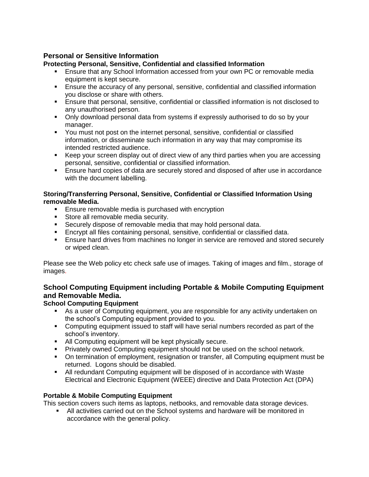## **Personal or Sensitive Information**

## **Protecting Personal, Sensitive, Confidential and classified Information**

- **Ensure that any School Information accessed from your own PC or removable media** equipment is kept secure.
- **E** Ensure the accuracy of any personal, sensitive, confidential and classified information you disclose or share with others.
- **Ensure that personal, sensitive, confidential or classified information is not disclosed to** any unauthorised person.
- Only download personal data from systems if expressly authorised to do so by your manager.
- You must not post on the internet personal, sensitive, confidential or classified information, or disseminate such information in any way that may compromise its intended restricted audience.
- Keep your screen display out of direct view of any third parties when you are accessing personal, sensitive, confidential or classified information.
- **Ensure hard copies of data are securely stored and disposed of after use in accordance** with the document labelling.

#### **Storing/Transferring Personal, Sensitive, Confidential or Classified Information Using removable Media.**

- Ensure removable media is purchased with encryption
- Store all removable media security.
- Securely dispose of removable media that may hold personal data.<br>■ Focrypt all files containing personal, sensitive, confidential or classi
- Encrypt all files containing personal, sensitive, confidential or classified data.
- **Ensure hard drives from machines no longer in service are removed and stored securely** or wiped clean.

Please see the Web policy etc check safe use of images. Taking of images and film., storage of images.

## **School Computing Equipment including Portable & Mobile Computing Equipment and Removable Media.**

## **School Computing Equipment**

- **EX** As a user of Computing equipment, you are responsible for any activity undertaken on the school's Computing equipment provided to you.
- **•** Computing equipment issued to staff will have serial numbers recorded as part of the school's inventory.
- All Computing equipment will be kept physically secure.
- Privately owned Computing equipment should not be used on the school network.
- On termination of employment, resignation or transfer, all Computing equipment must be returned. Logons should be disabled.
- All redundant Computing equipment will be disposed of in accordance with Waste Electrical and Electronic Equipment (WEEE) directive and Data Protection Act (DPA)

#### **Portable & Mobile Computing Equipment**

This section covers such items as laptops, netbooks, and removable data storage devices.

**EXECT** All activities carried out on the School systems and hardware will be monitored in accordance with the general policy.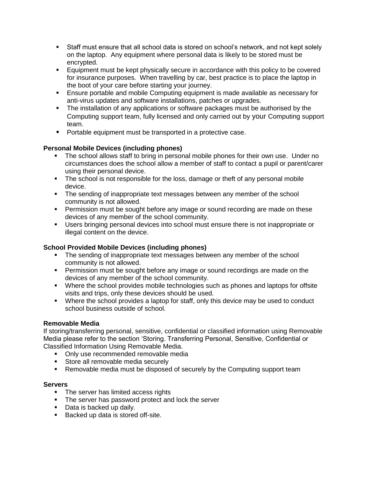- Staff must ensure that all school data is stored on school's network, and not kept solely on the laptop. Any equipment where personal data is likely to be stored must be encrypted.
- **Equipment must be kept physically secure in accordance with this policy to be covered** for insurance purposes. When travelling by car, best practice is to place the laptop in the boot of your care before starting your journey.
- **Ensure portable and mobile Computing equipment is made available as necessary for** anti-virus updates and software installations, patches or upgrades.
- **•** The installation of any applications or software packages must be authorised by the Computing support team, fully licensed and only carried out by your Computing support team.
- Portable equipment must be transported in a protective case.

## **Personal Mobile Devices (including phones)**

- The school allows staff to bring in personal mobile phones for their own use. Under no circumstances does the school allow a member of staff to contact a pupil or parent/carer using their personal device.
- **The school is not responsible for the loss, damage or theft of any personal mobile** device.
- **•** The sending of inappropriate text messages between any member of the school community is not allowed.
- Permission must be sought before any image or sound recording are made on these devices of any member of the school community.
- **■** Users bringing personal devices into school must ensure there is not inappropriate or illegal content on the device.

## **School Provided Mobile Devices (including phones)**

- **•** The sending of inappropriate text messages between any member of the school community is not allowed.
- **•** Permission must be sought before any image or sound recordings are made on the devices of any member of the school community.
- Where the school provides mobile technologies such as phones and laptops for offsite visits and trips, only these devices should be used.
- **•** Where the school provides a laptop for staff, only this device may be used to conduct school business outside of school.

## **Removable Media**

If storing/transferring personal, sensitive, confidential or classified information using Removable Media please refer to the section 'Storing. Transferring Personal, Sensitive, Confidential or Classified Information Using Removable Media.

- **Only use recommended removable media**
- Store all removable media securely
- **Removable media must be disposed of securely by the Computing support team**

#### **Servers**

- **•** The server has limited access rights
- The server has password protect and lock the server
- Data is backed up daily.
- Backed up data is stored off-site.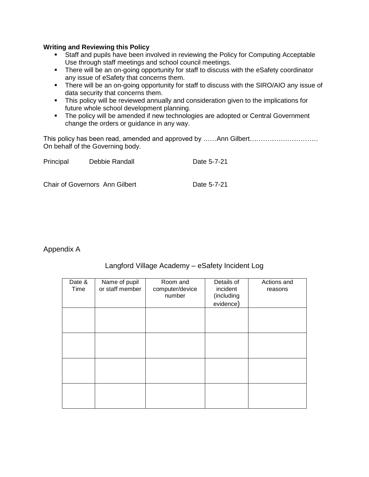#### **Writing and Reviewing this Policy**

- Staff and pupils have been involved in reviewing the Policy for Computing Acceptable Use through staff meetings and school council meetings.
- **•** There will be an on-going opportunity for staff to discuss with the eSafety coordinator any issue of eSafety that concerns them.
- **•** There will be an on-going opportunity for staff to discuss with the SIRO/AIO any issue of data security that concerns them.
- **.** This policy will be reviewed annually and consideration given to the implications for future whole school development planning.
- **·** The policy will be amended if new technologies are adopted or Central Government change the orders or guidance in any way.

This policy has been read, amended and approved by ……Ann Gilbert………………………………………… On behalf of the Governing body.

| Principal | Debbie Randall                 | Date 5-7-21 |  |
|-----------|--------------------------------|-------------|--|
|           |                                |             |  |
|           | Chair of Governors Ann Gilbert | Date 5-7-21 |  |

Appendix A

## Langford Village Academy – eSafety Incident Log

| Date &<br>Time | Name of pupil<br>or staff member | Room and<br>computer/device<br>number | Details of<br>incident<br>(including<br>evidence) | Actions and<br>reasons |
|----------------|----------------------------------|---------------------------------------|---------------------------------------------------|------------------------|
|                |                                  |                                       |                                                   |                        |
|                |                                  |                                       |                                                   |                        |
|                |                                  |                                       |                                                   |                        |
|                |                                  |                                       |                                                   |                        |